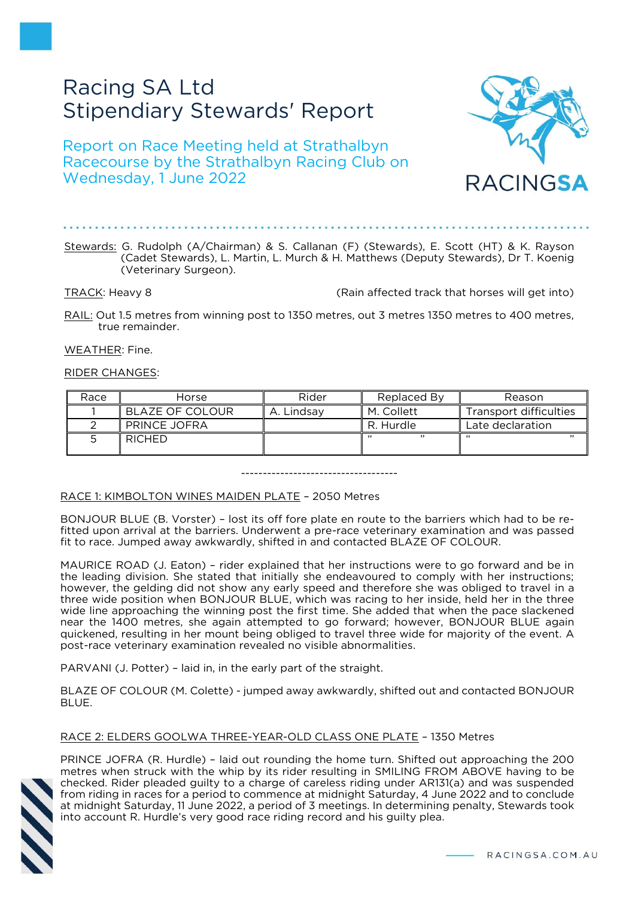# Racing SA Ltd Stipendiary Stewards' Report

Report on Race Meeting held at Strathalbyn Racecourse by the Strathalbyn Racing Club on Wednesday, 1 June 2022



TRACK: Heavy 8 (Rain affected track that horses will get into)

RAIL: Out 1.5 metres from winning post to 1350 metres, out 3 metres 1350 metres to 400 metres, true remainder.

WEATHER: Fine.

# RIDER CHANGES:

| Race | Horse           | Rider      | Replaced By | Reason                 |
|------|-----------------|------------|-------------|------------------------|
|      | BLAZE OF COLOUR | A. Lindsav | M. Collett  | Transport difficulties |
|      | PRINCE JOFRA    |            | R. Hurdle   | Late declaration       |
|      | <b>RICHED</b>   |            | ,,          | ,,<br>"                |

------------------------------------

### RACE 1: KIMBOLTON WINES MAIDEN PLATE – 2050 Metres

BONJOUR BLUE (B. Vorster) – lost its off fore plate en route to the barriers which had to be refitted upon arrival at the barriers. Underwent a pre-race veterinary examination and was passed fit to race. Jumped away awkwardly, shifted in and contacted BLAZE OF COLOUR.

MAURICE ROAD (J. Eaton) – rider explained that her instructions were to go forward and be in the leading division. She stated that initially she endeavoured to comply with her instructions; however, the gelding did not show any early speed and therefore she was obliged to travel in a three wide position when BONJOUR BLUE, which was racing to her inside, held her in the three wide line approaching the winning post the first time. She added that when the pace slackened near the 1400 metres, she again attempted to go forward; however, BONJOUR BLUE again quickened, resulting in her mount being obliged to travel three wide for majority of the event. A post-race veterinary examination revealed no visible abnormalities.

PARVANI (J. Potter) – laid in, in the early part of the straight.

BLAZE OF COLOUR (M. Colette) - jumped away awkwardly, shifted out and contacted BONJOUR BLUE.

# RACE 2: ELDERS GOOLWA THREE-YEAR-OLD CLASS ONE PLATE – 1350 Metres



PRINCE JOFRA (R. Hurdle) – laid out rounding the home turn. Shifted out approaching the 200 metres when struck with the whip by its rider resulting in SMILING FROM ABOVE having to be checked. Rider pleaded guilty to a charge of careless riding under AR131(a) and was suspended from riding in races for a period to commence at midnight Saturday, 4 June 2022 and to conclude at midnight Saturday, 11 June 2022, a period of 3 meetings. In determining penalty, Stewards took into account R. Hurdle's very good race riding record and his guilty plea.

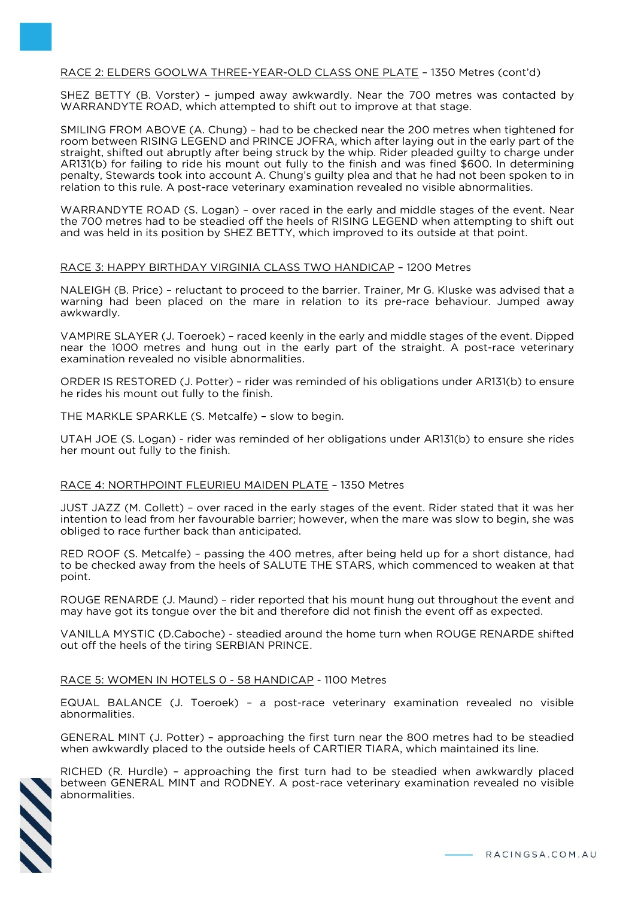# RACE 2: ELDERS GOOLWA THREE-YEAR-OLD CLASS ONE PLATE – 1350 Metres (cont'd)

SHEZ BETTY (B. Vorster) – jumped away awkwardly. Near the 700 metres was contacted by WARRANDYTE ROAD, which attempted to shift out to improve at that stage.

SMILING FROM ABOVE (A. Chung) – had to be checked near the 200 metres when tightened for room between RISING LEGEND and PRINCE JOFRA, which after laying out in the early part of the straight, shifted out abruptly after being struck by the whip. Rider pleaded guilty to charge under AR131(b) for failing to ride his mount out fully to the finish and was fined \$600. In determining penalty, Stewards took into account A. Chung's guilty plea and that he had not been spoken to in relation to this rule. A post-race veterinary examination revealed no visible abnormalities.

WARRANDYTE ROAD (S. Logan) – over raced in the early and middle stages of the event. Near the 700 metres had to be steadied off the heels of RISING LEGEND when attempting to shift out and was held in its position by SHEZ BETTY, which improved to its outside at that point.

### RACE 3: HAPPY BIRTHDAY VIRGINIA CLASS TWO HANDICAP – 1200 Metres

NALEIGH (B. Price) – reluctant to proceed to the barrier. Trainer, Mr G. Kluske was advised that a warning had been placed on the mare in relation to its pre-race behaviour. Jumped away awkwardly.

VAMPIRE SLAYER (J. Toeroek) – raced keenly in the early and middle stages of the event. Dipped near the 1000 metres and hung out in the early part of the straight. A post-race veterinary examination revealed no visible abnormalities.

ORDER IS RESTORED (J. Potter) – rider was reminded of his obligations under AR131(b) to ensure he rides his mount out fully to the finish.

THE MARKLE SPARKLE (S. Metcalfe) – slow to begin.

UTAH JOE (S. Logan) - rider was reminded of her obligations under AR131(b) to ensure she rides her mount out fully to the finish.

### RACE 4: NORTHPOINT FLEURIEU MAIDEN PLATE – 1350 Metres

JUST JAZZ (M. Collett) – over raced in the early stages of the event. Rider stated that it was her intention to lead from her favourable barrier; however, when the mare was slow to begin, she was obliged to race further back than anticipated.

RED ROOF (S. Metcalfe) – passing the 400 metres, after being held up for a short distance, had to be checked away from the heels of SALUTE THE STARS, which commenced to weaken at that point.

ROUGE RENARDE (J. Maund) – rider reported that his mount hung out throughout the event and may have got its tongue over the bit and therefore did not finish the event off as expected.

VANILLA MYSTIC (D.Caboche) - steadied around the home turn when ROUGE RENARDE shifted out off the heels of the tiring SERBIAN PRINCE.

### RACE 5: WOMEN IN HOTELS 0 - 58 HANDICAP - 1100 Metres

EQUAL BALANCE (J. Toeroek) – a post-race veterinary examination revealed no visible abnormalities.

GENERAL MINT (J. Potter) – approaching the first turn near the 800 metres had to be steadied when awkwardly placed to the outside heels of CARTIER TIARA, which maintained its line.



RICHED (R. Hurdle) – approaching the first turn had to be steadied when awkwardly placed between GENERAL MINT and RODNEY. A post-race veterinary examination revealed no visible abnormalities.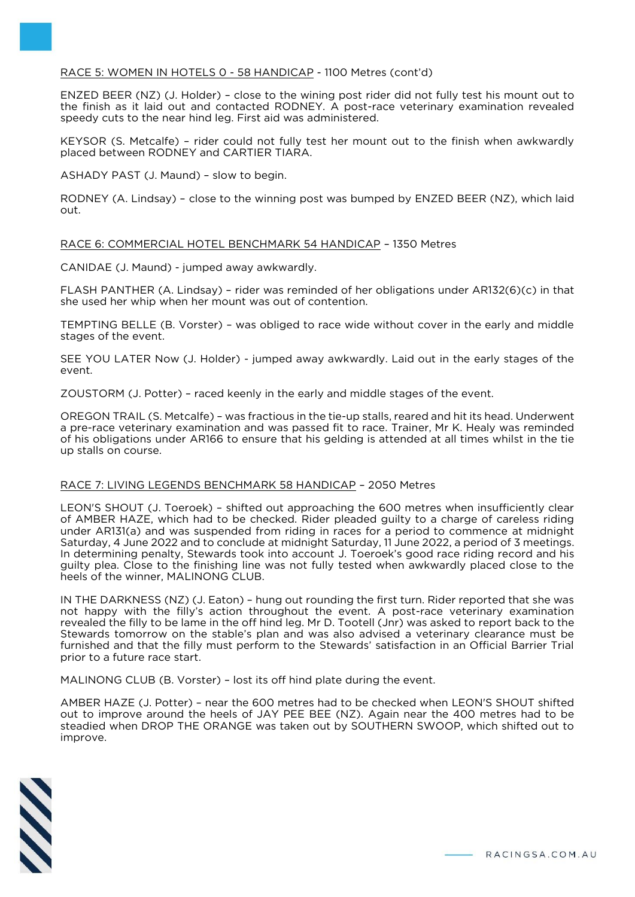# RACE 5: WOMEN IN HOTELS 0 - 58 HANDICAP - 1100 Metres (cont'd)

ENZED BEER (NZ) (J. Holder) – close to the wining post rider did not fully test his mount out to the finish as it laid out and contacted RODNEY. A post-race veterinary examination revealed speedy cuts to the near hind leg. First aid was administered.

KEYSOR (S. Metcalfe) – rider could not fully test her mount out to the finish when awkwardly placed between RODNEY and CARTIER TIARA.

ASHADY PAST (J. Maund) – slow to begin.

RODNEY (A. Lindsay) – close to the winning post was bumped by ENZED BEER (NZ), which laid out.

# RACE 6: COMMERCIAL HOTEL BENCHMARK 54 HANDICAP – 1350 Metres

CANIDAE (J. Maund) - jumped away awkwardly.

FLASH PANTHER (A. Lindsay) – rider was reminded of her obligations under AR132(6)(c) in that she used her whip when her mount was out of contention.

TEMPTING BELLE (B. Vorster) – was obliged to race wide without cover in the early and middle stages of the event.

SEE YOU LATER Now (J. Holder) - jumped away awkwardly. Laid out in the early stages of the event.

ZOUSTORM (J. Potter) – raced keenly in the early and middle stages of the event.

OREGON TRAIL (S. Metcalfe) – was fractious in the tie-up stalls, reared and hit its head. Underwent a pre-race veterinary examination and was passed fit to race. Trainer, Mr K. Healy was reminded of his obligations under AR166 to ensure that his gelding is attended at all times whilst in the tie up stalls on course.

### RACE 7: LIVING LEGENDS BENCHMARK 58 HANDICAP – 2050 Metres

LEON'S SHOUT (J. Toeroek) – shifted out approaching the 600 metres when insufficiently clear of AMBER HAZE, which had to be checked. Rider pleaded guilty to a charge of careless riding under AR131(a) and was suspended from riding in races for a period to commence at midnight Saturday, 4 June 2022 and to conclude at midnight Saturday, 11 June 2022, a period of 3 meetings. In determining penalty, Stewards took into account J. Toeroek's good race riding record and his guilty plea. Close to the finishing line was not fully tested when awkwardly placed close to the heels of the winner, MALINONG CLUB.

IN THE DARKNESS (NZ) (J. Eaton) – hung out rounding the first turn. Rider reported that she was not happy with the filly's action throughout the event. A post-race veterinary examination revealed the filly to be lame in the off hind leg. Mr D. Tootell (Jnr) was asked to report back to the Stewards tomorrow on the stable's plan and was also advised a veterinary clearance must be furnished and that the filly must perform to the Stewards' satisfaction in an Official Barrier Trial prior to a future race start.

MALINONG CLUB (B. Vorster) – lost its off hind plate during the event.

AMBER HAZE (J. Potter) – near the 600 metres had to be checked when LEON'S SHOUT shifted out to improve around the heels of JAY PEE BEE (NZ). Again near the 400 metres had to be steadied when DROP THE ORANGE was taken out by SOUTHERN SWOOP, which shifted out to improve.